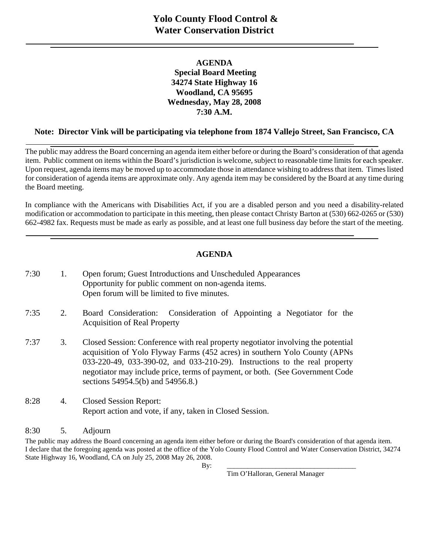### **AGENDA Special Board Meeting 34274 State Highway 16 Woodland, CA 95695 Wednesday, May 28, 2008 7:30 A.M.**

## **Note: Director Vink will be participating via telephone from 1874 Vallejo Street, San Francisco, CA**

The public may address the Board concerning an agenda item either before or during the Board's consideration of that agenda item. Public comment on items within the Board's jurisdiction is welcome, subject to reasonable time limits for each speaker. Upon request, agenda items may be moved up to accommodate those in attendance wishing to address that item. Times listed for consideration of agenda items are approximate only. Any agenda item may be considered by the Board at any time during the Board meeting.

In compliance with the Americans with Disabilities Act, if you are a disabled person and you need a disability-related modification or accommodation to participate in this meeting, then please contact Christy Barton at (530) 662-0265 or (530) 662-4982 fax. Requests must be made as early as possible, and at least one full business day before the start of the meeting.

## **AGENDA**

| 7:30 | 1. | Open forum; Guest Introductions and Unscheduled Appearances<br>Opportunity for public comment on non-agenda items.<br>Open forum will be limited to five minutes.                                                                                                                                                                                                  |
|------|----|--------------------------------------------------------------------------------------------------------------------------------------------------------------------------------------------------------------------------------------------------------------------------------------------------------------------------------------------------------------------|
| 7:35 | 2. | Board Consideration:<br>Consideration of Appointing a Negotiator for the<br><b>Acquisition of Real Property</b>                                                                                                                                                                                                                                                    |
| 7:37 | 3. | Closed Session: Conference with real property negotiator involving the potential<br>acquisition of Yolo Flyway Farms (452 acres) in southern Yolo County (APNs<br>033-220-49, 033-390-02, and 033-210-29). Instructions to the real property<br>negotiator may include price, terms of payment, or both. (See Government Code<br>sections 54954.5(b) and 54956.8.) |
| 8:28 | 4. | <b>Closed Session Report:</b><br>Report action and vote, if any, taken in Closed Session.                                                                                                                                                                                                                                                                          |

#### 8:30 5. Adjourn

The public may address the Board concerning an agenda item either before or during the Board's consideration of that agenda item. I declare that the foregoing agenda was posted at the office of the Yolo County Flood Control and Water Conservation District, 34274 State Highway 16, Woodland, CA on July 25, 2008 May 26, 2008.

By: \_\_\_\_\_\_\_\_\_\_\_\_\_\_\_\_\_\_\_\_\_\_\_\_\_\_\_\_\_\_\_\_\_\_\_\_\_

Tim O'Halloran, General Manager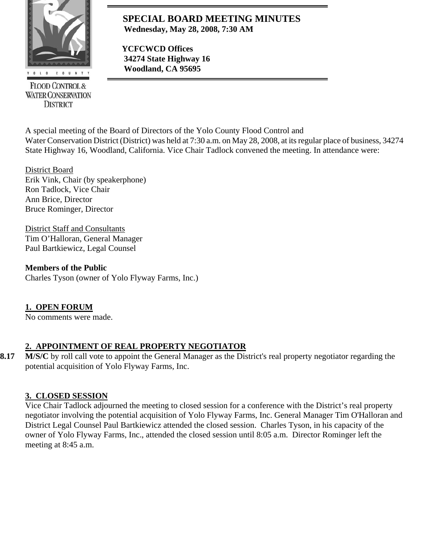

**FLOOD CONTROL & WATER CONSERVATION DISTRICT** 

## **SPECIAL BOARD MEETING MINUTES Wednesday, May 28, 2008, 7:30 AM**

 **YCFCWCD Offices 34274 State Highway 16 Woodland, CA 95695** 

A special meeting of the Board of Directors of the Yolo County Flood Control and Water Conservation District (District) was held at 7:30 a.m. on May 28, 2008, at its regular place of business, 34274 State Highway 16, Woodland, California. Vice Chair Tadlock convened the meeting. In attendance were:

District Board Erik Vink, Chair (by speakerphone) Ron Tadlock, Vice Chair Ann Brice, Director Bruce Rominger, Director

District Staff and Consultants Tim O'Halloran, General Manager Paul Bartkiewicz, Legal Counsel

**Members of the Public**  Charles Tyson (owner of Yolo Flyway Farms, Inc.)

# **1. OPEN FORUM**

No comments were made.

## **2. APPOINTMENT OF REAL PROPERTY NEGOTIATOR**

**8.17** M/S/C by roll call vote to appoint the General Manager as the District's real property negotiator regarding the potential acquisition of Yolo Flyway Farms, Inc.

# **3. CLOSED SESSION**

Vice Chair Tadlock adjourned the meeting to closed session for a conference with the District's real property negotiator involving the potential acquisition of Yolo Flyway Farms, Inc. General Manager Tim O'Halloran and District Legal Counsel Paul Bartkiewicz attended the closed session. Charles Tyson, in his capacity of the owner of Yolo Flyway Farms, Inc., attended the closed session until 8:05 a.m. Director Rominger left the meeting at 8:45 a.m.